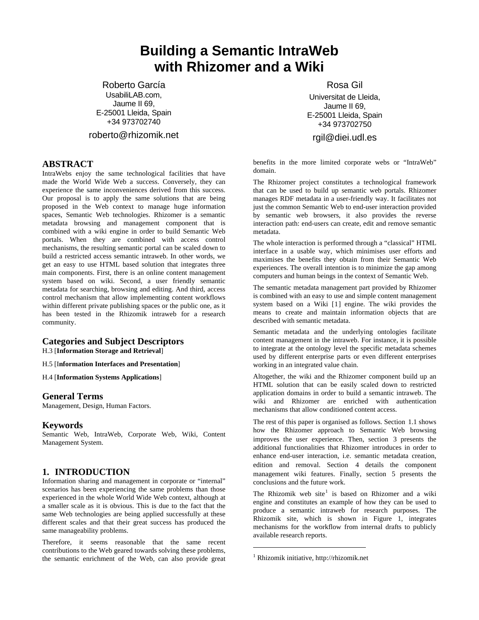# **Building a Semantic IntraWeb with Rhizomer and a Wiki**

Roberto García UsabiliLAB.com, Jaume II 69, E-25001 Lleida, Spain +34 973702740

roberto@rhizomik.net

## **ABSTRACT**

IntraWebs enjoy the same technological facilities that have made the World Wide Web a success. Conversely, they can experience the same inconveniences derived from this success. Our proposal is to apply the same solutions that are being proposed in the Web context to manage huge information spaces, Semantic Web technologies. Rhizomer is a semantic metadata browsing and management component that is combined with a wiki engine in order to build Semantic Web portals. When they are combined with access control mechanisms, the resulting semantic portal can be scaled down to build a restricted access semantic intraweb. In other words, we get an easy to use HTML based solution that integrates three main components. First, there is an online content management system based on wiki. Second, a user friendly semantic metadata for searching, browsing and editing. And third, access control mechanism that allow implementing content workflows within different private publishing spaces or the public one, as it has been tested in the Rhizomik intraweb for a research community.

## **Categories and Subject Descriptors**

H.3 [**Information Storage and Retrieval**]

H.5 [I**nformation Interfaces and Presentation**]

H.4 [**Information Systems Applications**]

#### **General Terms**

Management, Design, Human Factors.

#### **Keywords**

Semantic Web, IntraWeb, Corporate Web, Wiki, Content Management System.

### **1. INTRODUCTION**

Information sharing and management in corporate or "internal" scenarios has been experiencing the same problems than those experienced in the whole World Wide Web context, although at a smaller scale as it is obvious. This is due to the fact that the same Web technologies are being applied successfully at these different scales and that their great success has produced the same manageability problems.

<span id="page-0-0"></span>Therefore, it seems reasonable that the same recent contributions to the Web geared towards solving these problems, the semantic enrichment of the Web, can also provide great Rosa Gil

Universitat de Lleida, Jaume II 69, E-25001 Lleida, Spain +34 973702750

rgil@diei.udl.es

benefits in the more limited corporate webs or "IntraWeb" domain.

The Rhizomer project constitutes a technological framework that can be used to build up semantic web portals. Rhizomer manages RDF metadata in a user-friendly way. It facilitates not just the common Semantic Web to end-user interaction provided by semantic web browsers, it also provides the reverse interaction path: end-users can create, edit and remove semantic metadata.

The whole interaction is performed through a "classical" HTML interface in a usable way, which minimises user efforts and maximises the benefits they obtain from their Semantic Web experiences. The overall intention is to minimize the gap among computers and human beings in the context of Semantic Web.

The semantic metadata management part provided by Rhizomer is combined with an easy to use and simple content management system based on a Wiki [[1](#page-7-0)] engine. The wiki provides the means to create and maintain information objects that are described with semantic metadata.

Semantic metadata and the underlying ontologies facilitate content management in the intraweb. For instance, it is possible to integrate at the ontology level the specific metadata schemes used by different enterprise parts or even different enterprises working in an integrated value chain.

Altogether, the wiki and the Rhizomer component build up an HTML solution that can be easily scaled down to restricted application domains in order to build a semantic intraweb. The wiki and Rhizomer are enriched with authentication mechanisms that allow conditioned content access.

The rest of this paper is organised as follows. Section [1.1](#page-1-0) shows how the Rhizomer approach to Semantic Web browsing improves the user experience. Then, section [3](#page-4-0) presents the additional functionalities that Rhizomer introduces in order to enhance end-user interaction, i.e. semantic metadata creation, edition and removal. Section [4](#page-5-0) details the component management wiki features. Finally, section [5](#page-6-0) presents the conclusions and the future work.

The Rhizomik web site<sup>[1](#page-0-0)</sup> is based on Rhizomer and a wiki engine and constitutes an example of how they can be used to produce a semantic intraweb for research purposes. The Rhizomik site, which is shown in [Figure 1](#page-1-1), integrates mechanisms for the workflow from internal drafts to publicly available research reports.

 $\overline{a}$ 

<sup>1</sup> Rhizomik initiative, http://rhizomik.net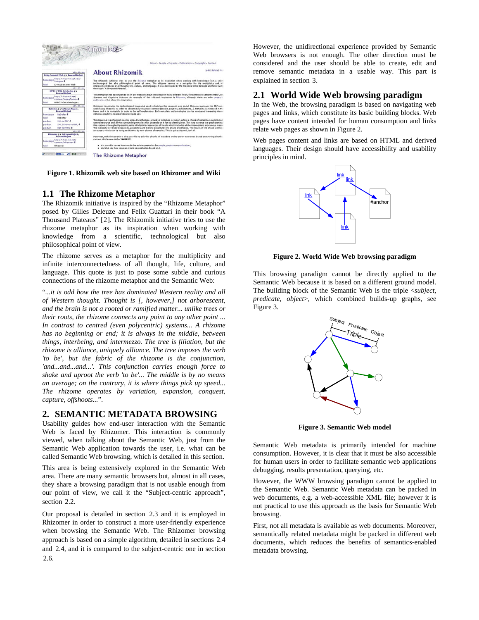

<span id="page-1-1"></span>**Figure 1. Rhizomik web site based on Rhizomer and Wiki** 

## <span id="page-1-0"></span>**1.1 The Rhizome Metaphor**

The Rhizomik initiative is inspired by the "Rhizome Metaphor" posed by Gilles Deleuze and Felix Guattari in their book "A Thousand Plateaus" [[2](#page-7-1)]. The Rhizomik initiative tries to use the rhizome metaphor as its inspiration when working with knowledge from a scientific, technological but also philosophical point of view.

<span id="page-1-2"></span>The rhizome serves as a metaphor for the multiplicity and infinite interconnectedness of all thought, life, culture, and language. This quote is just to pose some subtle and curious connections of the rhizome metaphor and the Semantic Web:

"*...it is odd how the tree has dominated Western reality and all of Western thought. Thought is [, however,] not arborescent, and the brain is not a rooted or ramified matter... unlike trees or their roots, the rhizome connects any point to any other point ... In contrast to centred (even polycentric) systems... A rhizome has no beginning or end; it is always in the middle, between things, interbeing, and intermezzo. The tree is filiation, but the rhizome is alliance, uniquely alliance. The tree imposes the verb 'to be', but the fabric of the rhizome is the conjunction, 'and...and...and...'. This conjunction carries enough force to shake and uproot the verb 'to be'... The middle is by no means an average; on the contrary, it is where things pick up speed... The rhizome operates by variation, expansion, conquest, capture, offshoots...*".

### **2. SEMANTIC METADATA BROWSING**

<span id="page-1-3"></span>Usability guides how end-user interaction with the Semantic Web is faced by Rhizomer. This interaction is commonly viewed, when talking about the Semantic Web, just from the Semantic Web application towards the user, i.e. what can be called Semantic Web browsing, which is detailed in this section.

This area is being extensively explored in the Semantic Web area. There are many semantic browsers but, almost in all cases, they share a browsing paradigm that is not usable enough from our point of view, we call it the "Subject-centric approach", section [2.2](#page-2-0).

Our proposal is detailed in section [2.3](#page-2-1) and it is employed in Rhizomer in order to construct a more user-friendly experience when browsing the Semantic Web. The Rhizomer browsing approach is based on a simple algorithm, detailed in sections [2.4](#page-3-0) and [2.4](#page-3-0), and it is compared to the subject-centric one in section [2.6](#page-3-1).

However, the unidirectional experience provided by Semantic Web browsers is not enough. The other direction must be considered and the user should be able to create, edit and remove semantic metadata in a usable way. This part is explained in section [3.](#page-4-0)

# **2.1 World Wide Web browsing paradigm**

In the Web, the browsing paradigm is based on navigating web pages and links, which constitute its basic building blocks. Web pages have content intended for human consumption and links relate web pages as shown in [Figure 2](#page-1-2).

Web pages content and links are based on HTML and derived languages. Their design should have accessibility and usability principles in mind.



**Figure 2. World Wide Web browsing paradigm** 

This browsing paradigm cannot be directly applied to the Semantic Web because it is based on a different ground model. The building block of the Semantic Web is the triple <*subject, predicate, object*>, which combined builds-up graphs, see [Figure 3](#page-1-3).



**Figure 3. Semantic Web model** 

Semantic Web metadata is primarily intended for machine consumption. However, it is clear that it must be also accessible for human users in order to facilitate semantic web applications debugging, results presentation, querying, etc.

However, the WWW browsing paradigm cannot be applied to the Semantic Web. Semantic Web metadata can be packed in web documents, e.g. a web-accessible XML file; however it is not practical to use this approach as the basis for Semantic Web browsing.

First, not all metadata is available as web documents. Moreover, semantically related metadata might be packed in different web documents, which reduces the benefits of semantics-enabled metadata browsing.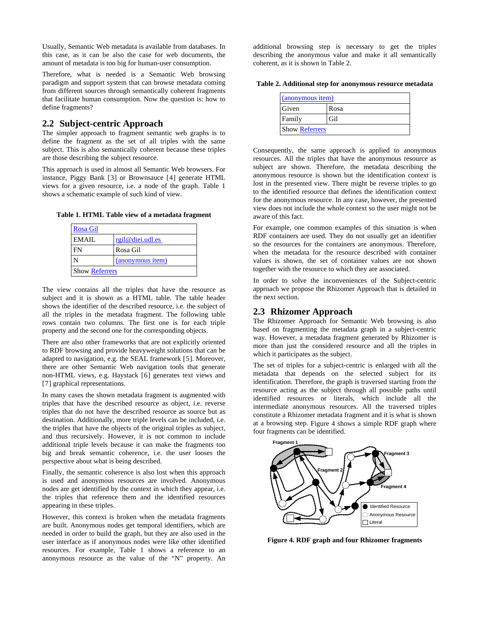Usually, Semantic Web metadata is available from databases. In this case, as it can be also the case for web documents, the amount of metadata is too big for human-user consumption.

<span id="page-2-3"></span>Therefore, what is needed is a Semantic Web browsing paradigm and support system that can browse metadata coming from different sources through semantically coherent fragments that facilitate human consumption. Now the question is: how to define fragments?

## <span id="page-2-0"></span>**2.2 Subject-centric Approach**

The simpler approach to fragment semantic web graphs is to define the fragment as the set of all triples with the same subject. This is also semantically coherent because these triples are those describing the subject resource.

This approach is used in almost all Semantic Web browsers. For instance, Piggy Bank [[3](#page-7-1)] or Brownsauce [[4](#page-7-1)] generate HTML views for a given resource, i.e. a node of the graph. [Table 1](#page-2-2) shows a schematic example of such kind of view.

<span id="page-2-2"></span>**Table 1. HTML Table view of a metadata fragment** 

| <b>Rosa Gil</b>       |                  |  |
|-----------------------|------------------|--|
| EMAIL.                | rgil@diei.udl.es |  |
| FN                    | Rosa Gil         |  |
|                       | (anonymous item) |  |
| <b>Show Referrers</b> |                  |  |

<span id="page-2-1"></span>The view contains all the triples that have the resource as subject and it is shown as a HTML table. The table header shows the identifier of the described resource, i.e. the subject of all the triples in the metadata fragment. The following table rows contain two columns. The first one is for each triple property and the second one for the corresponding objects.

There are also other frameworks that are not explicitly oriented to RDF browsing and provide heavyweight solutions that can be adapted to navigation, e.g. the SEAL framework [[5](#page-7-1)]. Moreover, there are other Semantic Web navigation tools that generate non-HTML views, e.g. Haystack [[6](#page-7-1)] generates text views and [[7](#page-7-1)] graphical representations.

In many cases the shown metadata fragment is augmented with triples that have the described resource as object, i.e. reverse triples that do not have the described resource as source but as destination. Additionally, more triple levels can be included, i.e. the triples that have the objects of the original triples as subject, and thus recursively. However, it is not common to include additional triple levels because it can make the fragments too big and break semantic coherence, i.e. the user looses the perspective about what is being described.

Finally, the semantic coherence is also lost when this approach is used and anonymous resources are involved. Anonymous nodes are get identified by the context in which they appear, i.e. the triples that reference them and the identified resources appearing in these triples.

<span id="page-2-4"></span>However, this context is broken when the metadata fragments are built. Anonymous nodes get temporal identifiers, which are needed in order to build the graph, but they are also used in the user interface as if anonymous nodes were like other identified resources. For example, [Table 1](#page-2-2) shows a reference to an anonymous resource as the value of the "N" property. An

additional browsing step is necessary to get the triples describing the anonymous value and make it all semantically coherent, as it is shown in [Table 2](#page-2-3).

| Table 2. Additional step for anonymous resource metadata |  |  |  |  |  |  |  |  |  |  |  |  |  |  |  |
|----------------------------------------------------------|--|--|--|--|--|--|--|--|--|--|--|--|--|--|--|
|----------------------------------------------------------|--|--|--|--|--|--|--|--|--|--|--|--|--|--|--|

| (anonymous item)      |      |  |  |  |
|-----------------------|------|--|--|--|
| Given                 | Rosa |  |  |  |
| Family                | Gil  |  |  |  |
| <b>Show Referrers</b> |      |  |  |  |

Consequently, the same approach is applied to anonymous resources. All the triples that have the anonymous resource as subject are shown. Therefore, the metadata describing the anonymous resource is shown but the identification context is lost in the presented view. There might be reverse triples to go to the identified resource that defines the identification context for the anonymous resource. In any case, however, the presented view does not include the whole context so the user might not be aware of this fact.

For example, one common examples of this situation is when RDF containers are used. They do not usually get an identifier so the resources for the containers are anonymous. Therefore, when the metadata for the resource described with container values is shown, the set of container values are not shown together with the resource to which they are associated.

In order to solve the inconveniences of the Subject-centric approach we propose the Rhizomer Approach that is detailed in the next section.

#### **2.3 Rhizomer Approach**

The Rhizomer Approach for Semantic Web browsing is also based on fragmenting the metadata graph in a subject-centric way. However, a metadata fragment generated by Rhizomer is more than just the considered resource and all the triples in which it participates as the subject.

The set of triples for a subject-centric is enlarged with all the metadata that depends on the selected subject for its identification. Therefore, the graph is traversed starting from the resource acting as the subject through all possible paths until identified resources or literals, which include all the intermediate anonymous resources. All the traversed triples constitute a Rhizomer metadata fragment and it is what is shown at a browsing step. [Figure 4](#page-2-4) shows a simple RDF graph where four fragments can be identified.



**Figure 4. RDF graph and four Rhizomer fragments**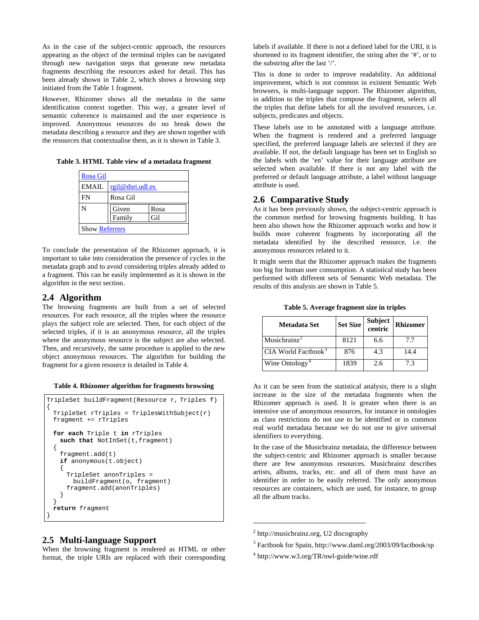As in the case of the subject-centric approach, the resources appearing as the object of the terminal triples can be navigated through new navigation steps that generate new metadata fragments describing the resources asked for detail. This has been already shown in [Table 2,](#page-2-3) which shows a browsing step initiated from the [Table 1](#page-2-2) fragment.

However, Rhizomer shows all the metadata in the same identification context together. This way, a greater level of semantic coherence is maintained and the user experience is improved. Anonymous resources do no break down the metadata describing a resource and they are shown together with the resources that contextualise them, as it is shown in [Table 3.](#page-3-2)

<span id="page-3-2"></span><span id="page-3-1"></span>**Table 3. HTML Table view of a metadata fragment** 

| Rosa Gil              |                  |      |  |  |
|-----------------------|------------------|------|--|--|
| EMAIL.                | rgil@diei.udl.es |      |  |  |
| FN                    | Rosa Gil         |      |  |  |
| Ń                     | Given            | Rosa |  |  |
|                       | Family           | Gil  |  |  |
| <b>Show Referrers</b> |                  |      |  |  |

To conclude the presentation of the Rhizomer approach, it is important to take into consideration the presence of cycles in the metadata graph and to avoid considering triples already added to a fragment. This can be easily implemented as it is shown in the algorithm in the next section.

### <span id="page-3-0"></span>**2.4 Algorithm**

<span id="page-3-4"></span>The browsing fragments are built from a set of selected resources. For each resource, all the triples where the resource plays the subject role are selected. Then, for each object of the selected triples, if it is an anonymous resource, all the triples where the anonymous resource is the subject are also selected. Then, and recursively, the same procedure is applied to the new object anonymous resources. The algorithm for building the fragment for a given resource is detailed in [Table 4.](#page-3-3)

|  |  | Table 4. Rhizomer algorithm for fragments browsing |
|--|--|----------------------------------------------------|
|  |  |                                                    |

```
TripleSet buildFragment(Resource r, Triples f) 
{ 
  TripleSet rTriples = TriplesWithSubject(r) 
  fragment += rTriples 
 for each Triple t in rTriples 
   such that NotInSet(t, fragment)
\{ fragment.add(t) 
    if anonymous(t.object) 
\{ TripleSet anonTriples = 
        buildFragment(o, fragment) 
      fragment.add(anonTriples) 
    } 
 } 
 return fragment 
}
```
### <span id="page-3-6"></span><span id="page-3-5"></span>**2.5 Multi-language Support**

<span id="page-3-7"></span>When the browsing fragment is rendered as HTML or other format, the triple URIs are replaced with their corresponding labels if available. If there is not a defined label for the URI, it is shortened to its fragment identifier, the string after the '#', or to the substring after the last '/'.

This is done in order to improve readability. An additional improvement, which is not common in existent Semantic Web browsers, is multi-language support. The Rhizomer algorithm, in addition to the triples that compose the fragment, selects all the triples that define labels for all the involved resources, i.e. subjects, predicates and objects.

These labels use to be annotated with a language attribute. When the fragment is rendered and a preferred language specified, the preferred language labels are selected if they are available. If not, the default language has been set to English so the labels with the 'en' value for their language attribute are selected when available. If there is not any label with the preferred or default language attribute, a label without language attribute is used.

## **2.6 Comparative Study**

As it has been previously shown, the subject-centric approach is the common method for browsing fragments building. It has been also shown how the Rhizomer approach works and how it builds more coherent fragments by incorporating all the metadata identified by the described resource, i.e. the anonymous resources related to it.

It might seem that the Rhizomer approach makes the fragments too big for human user consumption. A statistical study has been performed with different sets of Semantic Web metadata. The results of this analysis are shown in [Table 5.](#page-3-4)

**Table 5. Average fragment size in triples** 

| <b>Metadata Set</b>               | <b>Set Size</b> | Subject<br>centric | Rhizomer |
|-----------------------------------|-----------------|--------------------|----------|
| Musicbrainz <sup>2</sup>          | 8121            | 6.6                | 7.7      |
| $CIA$ World Factbook <sup>3</sup> | 876             | 4.3                | 14.4     |
| Wine Ontology <sup>4</sup>        | 1839            | 2.6                | 7.3      |

As it can be seen from the statistical analysis, there is a slight increase in the size of the metadata fragments when the Rhizomer approach is used. It is greater when there is an intensive use of anonymous resources, for instance in ontologies as class restrictions do not use to be identified or in common real world metadata because we do not use to give universal identifiers to everything.

In the case of the Musicbrainz metadata, the difference between the subject-centric and Rhizomer approach is smaller because there are few anonymous resources. Musicbrainz describes artists, albums, tracks, etc. and all of them must have an identifier in order to be easily referred. The only anonymous resources are containers, which are used, for instance, to group all the album tracks.

 $\overline{a}$ 

<sup>&</sup>lt;sup>2</sup> http://musicbrainz.org, U2 discography

<sup>&</sup>lt;sup>3</sup> Factbook for Spain, http://www.daml.org/2003/09/factbook/sp

<sup>4</sup> http://www.w3.org/TR/owl-guide/wine.rdf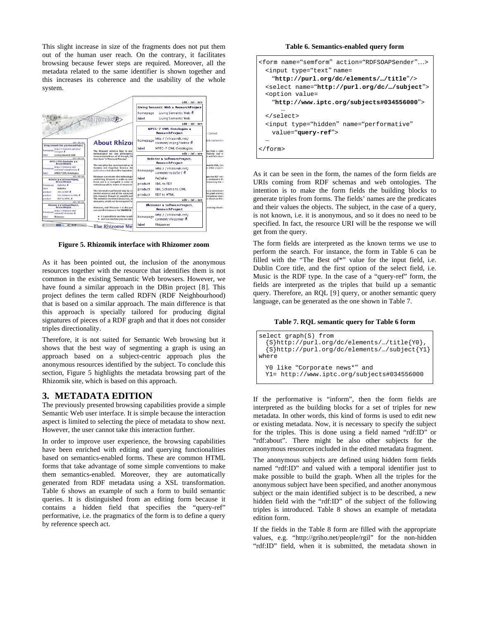<span id="page-4-2"></span>This slight increase in size of the fragments does not put them out of the human user reach. On the contrary, it facilitates browsing because fewer steps are required. Moreover, all the metadata related to the same identifier is shown together and this increases its coherence and the usability of the whole system.



**Figure 5. Rhizomik interface with Rhizomer zoom** 

<span id="page-4-4"></span><span id="page-4-1"></span>As it has been pointed out, the inclusion of the anonymous resources together with the resource that identifies them is not common in the existing Semantic Web browsers. However, we have found a similar approach in the DBin project [[8](#page-7-1)]. This project defines the term called RDFN (RDF Neighbourhood) that is based on a similar approach. The main difference is that this approach is specially tailored for producing digital signatures of pieces of a RDF graph and that it does not consider triples directionality.

<span id="page-4-3"></span>Therefore, it is not suited for Semantic Web browsing but it shows that the best way of segmenting a graph is using an approach based on a subject-centric approach plus the anonymous resources identified by the subject. To conclude this section, [Figure 5](#page-4-1) highlights the metadata browsing part of the Rhizomik site, which is based on this approach.

#### <span id="page-4-0"></span>**3. METADATA EDITION**

The previously presented browsing capabilities provide a simple Semantic Web user interface. It is simple because the interaction aspect is limited to selecting the piece of metadata to show next. However, the user cannot take this interaction further.

In order to improve user experience, the browsing capabilities have been enriched with editing and querying functionalities based on semantics-enabled forms. These are common HTML forms that take advantage of some simple conventions to make them semantics-enabled. Moreover, they are automatically generated from RDF metadata using a XSL transformation. [Table 6](#page-4-2) shows an example of such a form to build semantic queries. It is distinguished from an editing form because it contains a hidden field that specifies the "query-ref" performative, i.e. the pragmatics of the form is to define a query by reference speech act.

**Table 6. Semantics-enabled query form** 

```
<form name="semform" action="RDFSOAPSender"…>
  <input type="text" name= 
    "http://purl.org/dc/elements/…/title"/> 
  <select name="http://purl.org/dc/…/subject">
  <option value= 
    "http://www.iptc.org/subjects#034556000"> 
 … 
  </select> 
  <input type="hidden" name="performative" 
    value="query-ref"> 
 … 
</form>
```
As it can be seen in the form, the names of the form fields are URIs coming from RDF schemas and web ontologies. The intention is to make the form fields the building blocks to generate triples from forms. The fields' names are the predicates and their values the objects. The subject, in the case of a query, is not known, i.e. it is anonymous, and so it does no need to be specified. In fact, the resource URI will be the response we will get from the query.

The form fields are interpreted as the known terms we use to perform the search. For instance, the form in [Table 6](#page-4-2) can be filled with the "The Best of\*" value for the input field, i.e. Dublin Core title, and the first option of the select field, i.e. Music is the RDF type. In the case of a "query-ref" form, the fields are interpreted as the triples that build up a semantic query. Therefore, an RQL [[9](#page-7-1)] query, or another semantic query language, can be generated as the one shown in [Table 7.](#page-4-3)

#### **Table 7. RQL semantic query for [Table 6](#page-4-2) form**

```
select graph(S) from 
   {S}http://purl.org/dc/elements/…/title{Y0},
   {S}http://purl.org/dc/elements/…/subject{Y1}
where 
  Y0 like "Corporate news*" and 
  Y1= http://www.iptc.org/subjects#034556000
```
If the performative is "inform", then the form fields are interpreted as the building blocks for a set of triples for new metadata. In other words, this kind of forms is used to edit new or existing metadata. Now, it is necessary to specify the subject for the triples. This is done using a field named "rdf:ID" or "rdf:about". There might be also other subjects for the anonymous resources included in the edited metadata fragment.

The anonymous subjects are defined using hidden form fields named "rdf:ID" and valued with a temporal identifier just to make possible to build the graph. When all the triples for the anonymous subject have been specified, and another anonymous subject or the main identified subject is to be described, a new hidden field with the "rdf:ID" of the subject of the following triples is introduced. [Table 8](#page-5-1) shows an example of metadata edition form.

If the fields in the [Table 8](#page-5-1) form are filled with the appropriate values, e.g. "http://griho.net/people/rgil" for the non-hidden "rdf:ID" field, when it is submitted, the metadata shown in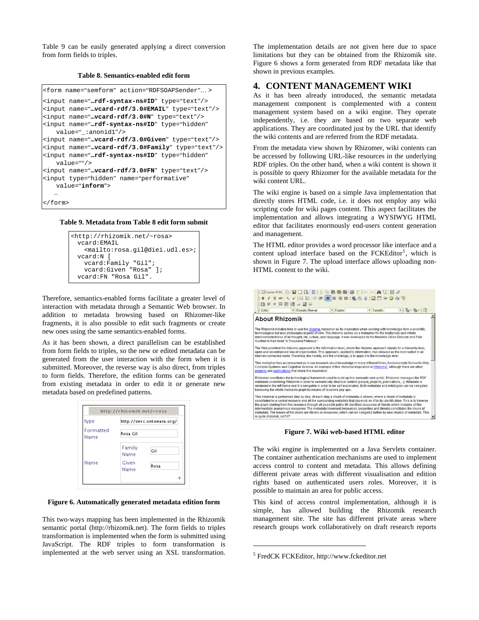[Table 9](#page-5-2) can be easily generated applying a direct conversion from form fields to triples.

#### **Table 8. Semantics-enabled edit form**

```
<form name="semform" action="RDFSOAPSender"… > 
<input name="…rdf-syntax-ns#ID" type="text"/> 
<input name="…vcard-rdf/3.0#EMAIL" type="text"/>
<input name="…vcard-rdf/3.0#N" type="text"/> 
<input name="…rdf-syntax-ns#ID" type="hidden" 
    value="_:anonid1"/> 
<input name="…vcard-rdf/3.0#Given" type="text"/>
<input name="…vcard-rdf/3.0#Family" type="text"/>
<input name="…rdf-syntax-ns#ID" type="hidden" 
    value=""/> 
<input name="…vcard-rdf/3.0#FN" type="text"/> 
<input type="hidden" name="performative"
    value="inform"> 
 … 
</form>
```
#### <span id="page-5-2"></span>**Table 9. Metadata from [Table 8](#page-5-1) edit form submit**

```
<http://rhizomik.net/~rosa> 
  vcard:EMAIL 
    <mailto:rosa.gil@diei.udl.es>;
  vcard:N [ 
    vcard:Family "Gil"; 
    vcard:Given "Rosa" ]; 
  vcard:FN "Rosa Gil".
```
Therefore, semantics-enabled forms facilitate a greater level of interaction with metadata through a Semantic Web browser. In addition to metadata browsing based on Rhizomer-like fragments, it is also possible to edit such fragments or create new ones using the same semantics-enabled forms.

As it has been shown, a direct parallelism can be established from form fields to triples, so the new or edited metadata can be generated from the user interaction with the form when it is submitted. Moreover, the reverse way is also direct, from triples to form fields. Therefore, the edition forms can be generated from existing metadata in order to edit it or generate new metadata based on predefined patterns.

<span id="page-5-5"></span>

| type              |                | http://swrc.ontoware.org/ |
|-------------------|----------------|---------------------------|
| Formatted<br>Name | Rosa Gil       |                           |
|                   | Family<br>Name | Gil                       |
| Name              | Given<br>Name  | Rosa                      |

#### **Figure 6. Automatically generated metadata edition form**

<span id="page-5-4"></span><span id="page-5-3"></span>This two-ways mapping has been implemented in the Rhizomik semantic portal (http://rhizomik.net). The form fields to triples transformation is implemented when the form is submitted using JavaScript. The RDF triples to form transformation is implemented at the web server using an XSL transformation. The implementation details are not given here due to space limitations but they can be obtained from the Rhizomik site. [Figure 6](#page-5-3) shows a form generated from RDF metadata like that shown in previous examples.

#### **4. CONTENT MANAGEMENT WIKI**

As it has been already introduced, the semantic metadata management component is complemented with a content management system based on a wiki engine. They operate independently, i.e. they are based on two separate web applications. They are coordinated just by the URL that identify the wiki contents and are referred from the RDF metadata.

From the metadata view shown by Rhizomer, wiki contents can be accessed by following URL-like resources in the underlying RDF triples. On the other hand, when a wiki content is shown it is possible to query Rhizomer for the available metadata for the wiki content URL.

The wiki engine is based on a simple Java implementation that directly stores HTML code, i.e. it does not employ any wiki scripting code for wiki pages content. This aspect facilitates the implementation and allows integrating a WYSIWYG HTML editor that facilitates enormously end-users content generation and management.

The HTML editor provides a word processor like interface and a content upload interface based on the FCKEditor<sup>[5](#page-5-4)</sup>, which is shown in [Figure 7](#page-5-5). The upload interface allows uploading non-HTML content to the wiki.



#### **Figure 7. Wiki web-based HTML editor**

The wiki engine is implemented on a Java Servlets container. The container authentication mechanisms are used to implement access control to content and metadata. This allows defining different private areas with different visualisation and edition rights based on authenticated users roles. Moreover, it is possible to maintain an area for public access.

This kind of access control implementation, although it is simple, has allowed building the Rhizomik research management site. The site has different private areas where research groups work collaboratively on draft research reports

 $\overline{a}$ 

<sup>&</sup>lt;sup>5</sup> FredCK FCKEditor, http://www.fckeditor.net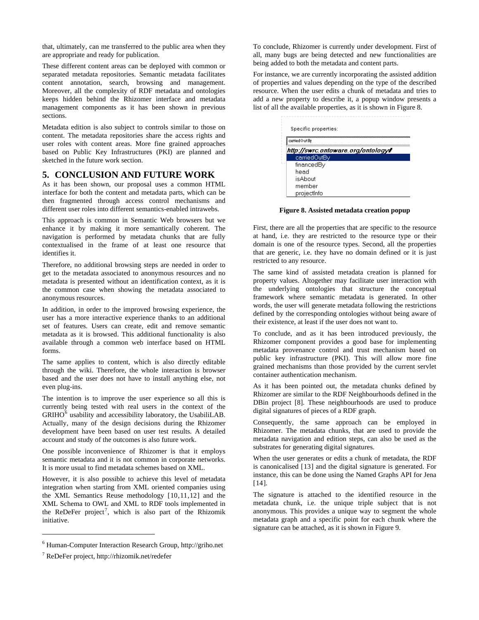that, ultimately, can me transferred to the public area when they are appropriate and ready for publication.

These different content areas can be deployed with common or separated metadata repositories. Semantic metadata facilitates content annotation, search, browsing and management. Moreover, all the complexity of RDF metadata and ontologies keeps hidden behind the Rhizomer interface and metadata management components as it has been shown in previous sections.

Metadata edition is also subject to controls similar to those on content. The metadata repositories share the access rights and user roles with content areas. More fine grained approaches based on Public Key Infrastructures (PKI) are planned and sketched in the future work section.

### <span id="page-6-0"></span>**5. CONCLUSION AND FUTURE WORK**

As it has been shown, our proposal uses a common HTML interface for both the content and metadata parts, which can be then fragmented through access control mechanisms and different user roles into different semantics-enabled intrawebs.

<span id="page-6-3"></span>This approach is common in Semantic Web browsers but we enhance it by making it more semantically coherent. The navigation is performed by metadata chunks that are fully contextualised in the frame of at least one resource that identifies it.

Therefore, no additional browsing steps are needed in order to get to the metadata associated to anonymous resources and no metadata is presented without an identification context, as it is the common case when showing the metadata associated to anonymous resources.

In addition, in order to the improved browsing experience, the user has a more interactive experience thanks to an additional set of features. Users can create, edit and remove semantic metadata as it is browsed. This additional functionality is also available through a common web interface based on HTML forms.

The same applies to content, which is also directly editable through the wiki. Therefore, the whole interaction is browser based and the user does not have to install anything else, not even plug-ins.

The intention is to improve the user experience so all this is currently being tested with real users in the context of the  $GRIHO<sup>6</sup>$  $GRIHO<sup>6</sup>$  $GRIHO<sup>6</sup>$  usability and accessibility laboratory, the UsabiliLAB. Actually, many of the design decisions during the Rhizomer development have been based on user test results. A detailed account and study of the outcomes is also future work.

One possible inconvenience of Rhizomer is that it employs semantic metadata and it is not common in corporate networks. It is more usual to find metadata schemes based on XML.

<span id="page-6-4"></span>However, it is also possible to achieve this level of metadata integration when starting from XML oriented companies using the XML Semantics Reuse methodology [[10](#page-7-1),[11](#page-7-1),[12](#page-7-1)] and the XML Schema to OWL and XML to RDF tools implemented in the ReDeFer project<sup>[7](#page-6-2)</sup>, which is also part of the Rhizomik initiative.

 $\overline{a}$ 

To conclude, Rhizomer is currently under development. First of all, many bugs are being detected and new functionalities are being added to both the metadata and content parts.

For instance, we are currently incorporating the assisted addition of properties and values depending on the type of the described resource. When the user edits a chunk of metadata and tries to add a new property to describe it, a popup window presents a list of all the available properties, as it is shown in [Figure 8.](#page-6-3)

| Specific properties: |                                    |
|----------------------|------------------------------------|
| carried Out By       |                                    |
|                      | http://swrc.ontoware.org/ontology# |
| carriedOutBy         |                                    |
| financedBy           |                                    |
| head                 |                                    |
| isAhnut              |                                    |
| member               |                                    |
| projectinfo          |                                    |

**Figure 8. Assisted metadata creation popup** 

First, there are all the properties that are specific to the resource at hand, i.e. they are restricted to the resource type or their domain is one of the resource types. Second, all the properties that are generic, i.e. they have no domain defined or it is just restricted to any resource.

The same kind of assisted metadata creation is planned for property values. Altogether may facilitate user interaction with the underlying ontologies that structure the conceptual framework where semantic metadata is generated. In other words, the user will generate metadata following the restrictions defined by the corresponding ontologies without being aware of their existence, at least if the user does not want to.

To conclude, and as it has been introduced previously, the Rhizomer component provides a good base for implementing metadata provenance control and trust mechanism based on public key infrastructure (PKI). This will allow more fine grained mechanisms than those provided by the current servlet container authentication mechanism.

As it has been pointed out, the metadata chunks defined by Rhizomer are similar to the RDF Neighbourhoods defined in the DBin project [[8](#page-4-4)]. These neighbourhoods are used to produce digital signatures of pieces of a RDF graph.

Consequently, the same approach can be employed in Rhizomer. The metadata chunks, that are used to provide the metadata navigation and edition steps, can also be used as the substrates for generating digital signatures.

When the user generates or edits a chunk of metadata, the RDF is canonicalised [[13](#page-7-1)] and the digital signature is generated. For instance, this can be done using the Named Graphs API for Jena [[14](#page-7-1)].

The signature is attached to the identified resource in the metadata chunk, i.e. the unique triple subject that is not anonymous. This provides a unique way to segment the whole metadata graph and a specific point for each chunk where the signature can be attached, as it is shown in [Figure 9](#page-7-2).

<span id="page-6-1"></span><sup>6</sup> Human-Computer Interaction Research Group, http://griho.net

<span id="page-6-2"></span><sup>7</sup> ReDeFer project, http://rhizomik.net/redefer